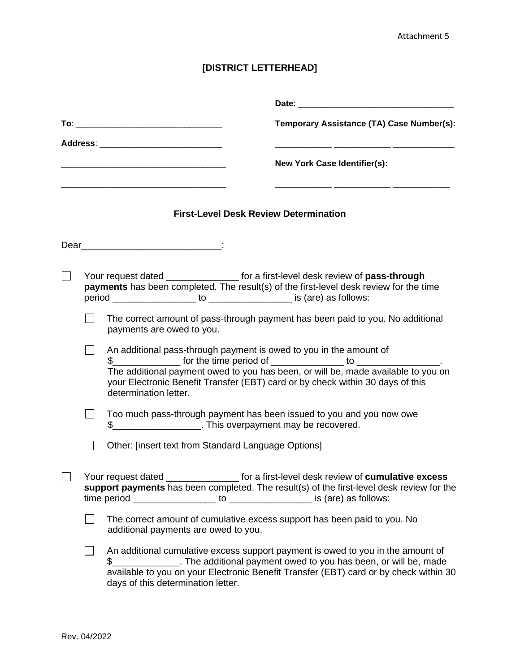## **[DISTRICT LETTERHEAD]**

|                                                                                                                                                                               | Date: the contract of the contract of the contract of the contract of the contract of the contract of the contract of the contract of the contract of the contract of the contract of the contract of the contract of the cont                                                                                                                |  |  |  |  |  |  |
|-------------------------------------------------------------------------------------------------------------------------------------------------------------------------------|-----------------------------------------------------------------------------------------------------------------------------------------------------------------------------------------------------------------------------------------------------------------------------------------------------------------------------------------------|--|--|--|--|--|--|
|                                                                                                                                                                               | Temporary Assistance (TA) Case Number(s):                                                                                                                                                                                                                                                                                                     |  |  |  |  |  |  |
|                                                                                                                                                                               | Address: ________________________________<br><b>New York Case Identifier(s):</b>                                                                                                                                                                                                                                                              |  |  |  |  |  |  |
|                                                                                                                                                                               | <b>First-Level Desk Review Determination</b>                                                                                                                                                                                                                                                                                                  |  |  |  |  |  |  |
|                                                                                                                                                                               | Dear : :                                                                                                                                                                                                                                                                                                                                      |  |  |  |  |  |  |
| Your request dated __________________ for a first-level desk review of pass-through<br>payments has been completed. The result(s) of the first-level desk review for the time |                                                                                                                                                                                                                                                                                                                                               |  |  |  |  |  |  |
|                                                                                                                                                                               | The correct amount of pass-through payment has been paid to you. No additional<br>payments are owed to you.                                                                                                                                                                                                                                   |  |  |  |  |  |  |
|                                                                                                                                                                               | An additional pass-through payment is owed to you in the amount of<br>$\frac{1}{2}$ for the time period of ________________ to _____________.<br>The additional payment owed to you has been, or will be, made available to you on<br>your Electronic Benefit Transfer (EBT) card or by check within 30 days of this<br>determination letter. |  |  |  |  |  |  |
| Too much pass-through payment has been issued to you and you now owe<br>\$______________________. This overpayment may be recovered.                                          |                                                                                                                                                                                                                                                                                                                                               |  |  |  |  |  |  |
|                                                                                                                                                                               | Other: [insert text from Standard Language Options]                                                                                                                                                                                                                                                                                           |  |  |  |  |  |  |
| for a first-level desk review of cumulative excess<br>Your request dated<br>support payments has been completed. The result(s) of the first-level desk review for the         |                                                                                                                                                                                                                                                                                                                                               |  |  |  |  |  |  |
|                                                                                                                                                                               | The correct amount of cumulative excess support has been paid to you. No<br>additional payments are owed to you.                                                                                                                                                                                                                              |  |  |  |  |  |  |
|                                                                                                                                                                               | An additional cumulative excess support payment is owed to you in the amount of<br>\$_________________. The additional payment owed to you has been, or will be, made<br>available to you on your Electronic Benefit Transfer (EBT) card or by check within 30<br>days of this determination letter.                                          |  |  |  |  |  |  |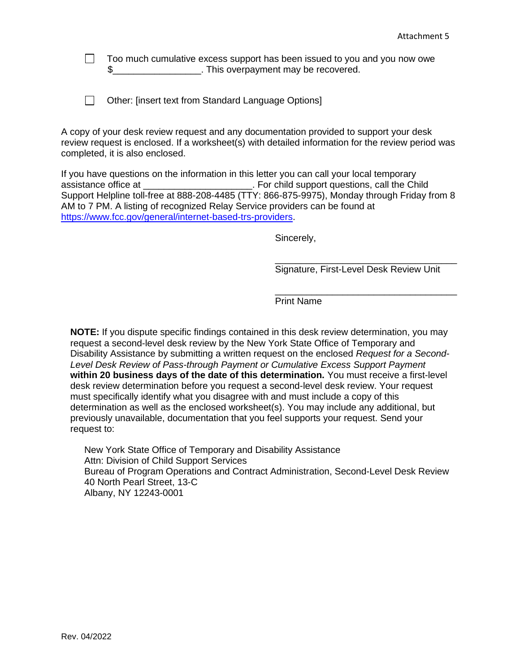Too much cumulative excess support has been issued to you and you now owe  $\Box$ \$\_\_\_\_\_\_\_\_\_\_\_\_\_\_\_\_\_. This overpayment may be recovered.

|  |  | □ Other: [insert text from Standard Language Options] |  |
|--|--|-------------------------------------------------------|--|
|  |  |                                                       |  |

A copy of your desk review request and any documentation provided to support your desk review request is enclosed. If a worksheet(s) with detailed information for the review period was completed, it is also enclosed.

If you have questions on the information in this letter you can call your local temporary assistance office at \_\_\_\_\_\_\_\_\_\_\_\_\_\_\_\_\_\_\_\_\_. For child support questions, call the Child Support Helpline toll-free at 888-208-4485 (TTY: 866-875-9975), Monday through Friday from 8 AM to 7 PM. A listing of recognized Relay Service providers can be found at [https://www.fcc.gov/general/internet-based-trs-providers.](https://www.fcc.gov/general/internet-based-trs-providers)

Sincerely,

Signature, First-Level Desk Review Unit

\_\_\_\_\_\_\_\_\_\_\_\_\_\_\_\_\_\_\_\_\_\_\_\_\_\_\_\_\_\_\_\_\_\_\_

\_\_\_\_\_\_\_\_\_\_\_\_\_\_\_\_\_\_\_\_\_\_\_\_\_\_\_\_\_\_\_\_\_\_\_

Print Name

**NOTE:** If you dispute specific findings contained in this desk review determination, you may request a second-level desk review by the New York State Office of Temporary and Disability Assistance by submitting a written request on the enclosed *Request for a Second-Level Desk Review of Pass-through Payment or Cumulative Excess Support Payment*  **within 20 business days of the date of this determination.** You must receive a first-level desk review determination before you request a second-level desk review. Your request must specifically identify what you disagree with and must include a copy of this determination as well as the enclosed worksheet(s). You may include any additional, but previously unavailable, documentation that you feel supports your request. Send your request to:

New York State Office of Temporary and Disability Assistance Attn: Division of Child Support Services Bureau of Program Operations and Contract Administration, Second-Level Desk Review 40 North Pearl Street, 13-C Albany, NY 12243-0001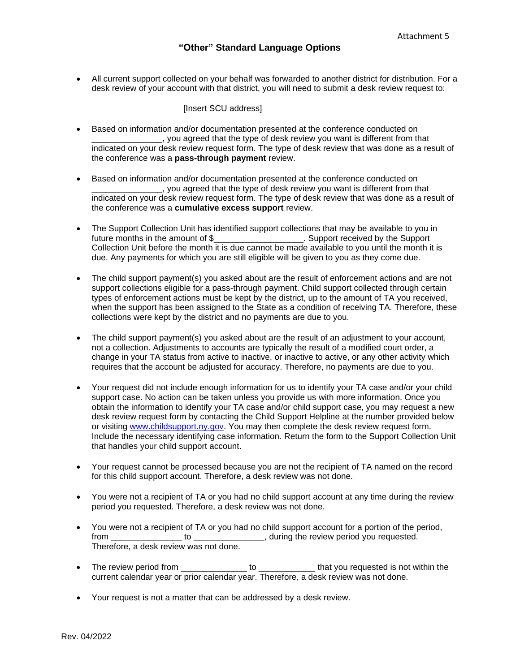• All current support collected on your behalf was forwarded to another district for distribution. For a desk review of your account with that district, you will need to submit a desk review request to:

[Insert SCU address]

- Based on information and/or documentation presented at the conference conducted on \_\_\_\_\_\_\_\_\_\_\_\_\_\_\_, you agreed that the type of desk review you want is different from that indicated on your desk review request form. The type of desk review that was done as a result of the conference was a **pass-through payment** review.
- Based on information and/or documentation presented at the conference conducted on \_\_\_\_\_\_\_\_\_\_\_\_\_\_\_, you agreed that the type of desk review you want is different from that indicated on your desk review request form. The type of desk review that was done as a result of the conference was a **cumulative excess support** review.
- The Support Collection Unit has identified support collections that may be available to you in future months in the amount of \$\_\_\_\_\_\_\_\_\_\_\_\_\_\_\_\_\_\_\_\_. Support received by the Support Collection Unit before the month it is due cannot be made available to you until the month it is due. Any payments for which you are still eligible will be given to you as they come due.
- The child support payment(s) you asked about are the result of enforcement actions and are not support collections eligible for a pass-through payment. Child support collected through certain types of enforcement actions must be kept by the district, up to the amount of TA you received, when the support has been assigned to the State as a condition of receiving TA. Therefore, these collections were kept by the district and no payments are due to you.
- The child support payment(s) you asked about are the result of an adjustment to your account, not a collection. Adjustments to accounts are typically the result of a modified court order, a change in your TA status from active to inactive, or inactive to active, or any other activity which requires that the account be adjusted for accuracy. Therefore, no payments are due to you.
- Your request did not include enough information for us to identify your TA case and/or your child support case. No action can be taken unless you provide us with more information. Once you obtain the information to identify your TA case and/or child support case, you may request a new desk review request form by contacting the Child Support Helpline at the number provided below or visiting [www.childsupport.ny.gov.](http://www.childsupport.ny.gov/) You may then complete the desk review request form. Include the necessary identifying case information. Return the form to the Support Collection Unit that handles your child support account.
- Your request cannot be processed because you are not the recipient of TA named on the record for this child support account. Therefore, a desk review was not done.
- You were not a recipient of TA or you had no child support account at any time during the review period you requested. Therefore, a desk review was not done.
- You were not a recipient of TA or you had no child support account for a portion of the period, from \_\_\_\_\_\_\_\_\_\_\_\_\_\_\_\_ to \_\_\_\_\_\_\_\_\_\_\_\_\_, during the review period you requested. Therefore, a desk review was not done.
- The review period from \_\_\_\_\_\_\_\_\_\_\_\_\_\_\_\_ to \_\_\_\_\_\_\_\_\_\_\_\_\_\_\_\_ that you requested is not within the current calendar year or prior calendar year. Therefore, a desk review was not done.
- Your request is not a matter that can be addressed by a desk review.